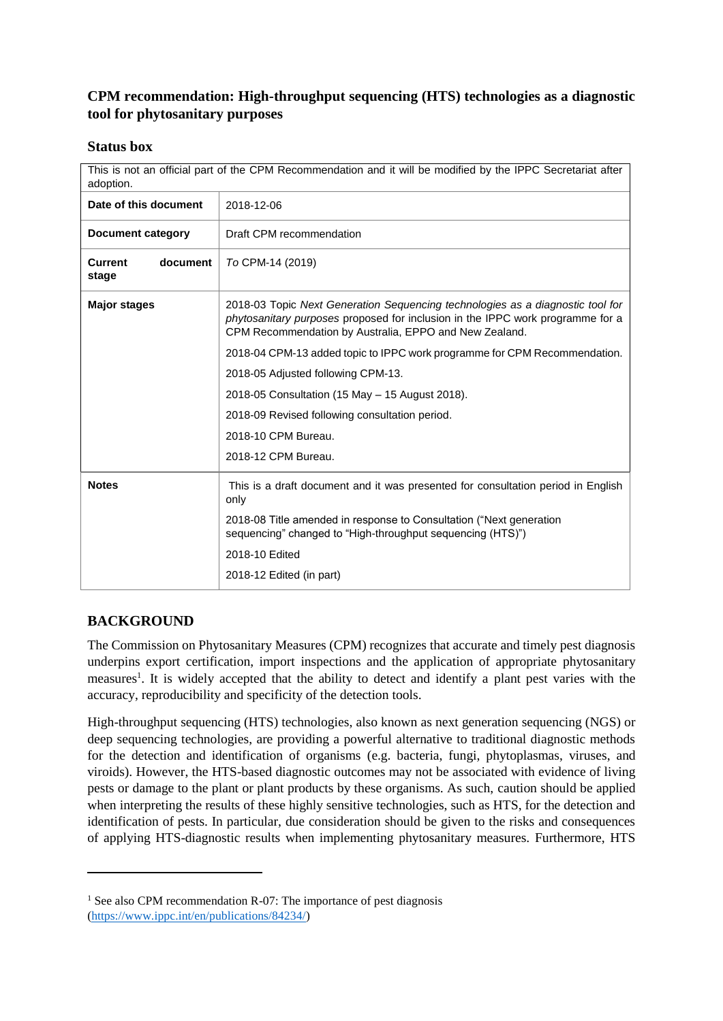# **CPM recommendation: High-throughput sequencing (HTS) technologies as a diagnostic tool for phytosanitary purposes**

#### **Status box**

This is not an official part of the CPM Recommendation and it will be modified by the IPPC Secretariat after adoption.

| Date of this document               | 2018-12-06                                                                                                                                                                                                                 |
|-------------------------------------|----------------------------------------------------------------------------------------------------------------------------------------------------------------------------------------------------------------------------|
| Document category                   | Draft CPM recommendation                                                                                                                                                                                                   |
| document<br><b>Current</b><br>stage | To CPM-14 (2019)                                                                                                                                                                                                           |
| <b>Major stages</b>                 | 2018-03 Topic Next Generation Sequencing technologies as a diagnostic tool for<br>phytosanitary purposes proposed for inclusion in the IPPC work programme for a<br>CPM Recommendation by Australia, EPPO and New Zealand. |
|                                     | 2018-04 CPM-13 added topic to IPPC work programme for CPM Recommendation.                                                                                                                                                  |
|                                     | 2018-05 Adjusted following CPM-13.                                                                                                                                                                                         |
|                                     | 2018-05 Consultation (15 May - 15 August 2018).                                                                                                                                                                            |
|                                     | 2018-09 Revised following consultation period.                                                                                                                                                                             |
|                                     | 2018-10 CPM Bureau.                                                                                                                                                                                                        |
|                                     | 2018-12 CPM Bureau.                                                                                                                                                                                                        |
| <b>Notes</b>                        | This is a draft document and it was presented for consultation period in English<br>only                                                                                                                                   |
|                                     | 2018-08 Title amended in response to Consultation ("Next generation<br>sequencing" changed to "High-throughput sequencing (HTS)")                                                                                          |
|                                     | 2018-10 Edited                                                                                                                                                                                                             |
|                                     | 2018-12 Edited (in part)                                                                                                                                                                                                   |

# **BACKGROUND**

**.** 

The Commission on Phytosanitary Measures (CPM) recognizes that accurate and timely pest diagnosis underpins export certification, import inspections and the application of appropriate phytosanitary measures<sup>1</sup>. It is widely accepted that the ability to detect and identify a plant pest varies with the accuracy, reproducibility and specificity of the detection tools.

High-throughput sequencing (HTS) technologies, also known as next generation sequencing (NGS) or deep sequencing technologies, are providing a powerful alternative to traditional diagnostic methods for the detection and identification of organisms (e.g. bacteria, fungi, phytoplasmas, viruses, and viroids). However, the HTS-based diagnostic outcomes may not be associated with evidence of living pests or damage to the plant or plant products by these organisms. As such, caution should be applied when interpreting the results of these highly sensitive technologies, such as HTS, for the detection and identification of pests. In particular, due consideration should be given to the risks and consequences of applying HTS-diagnostic results when implementing phytosanitary measures. Furthermore, HTS

 $1$  See also CPM recommendation R-07: The importance of pest diagnosis [\(https://www.ippc.int/en/publications/84234/\)](https://www.ippc.int/en/publications/84234/)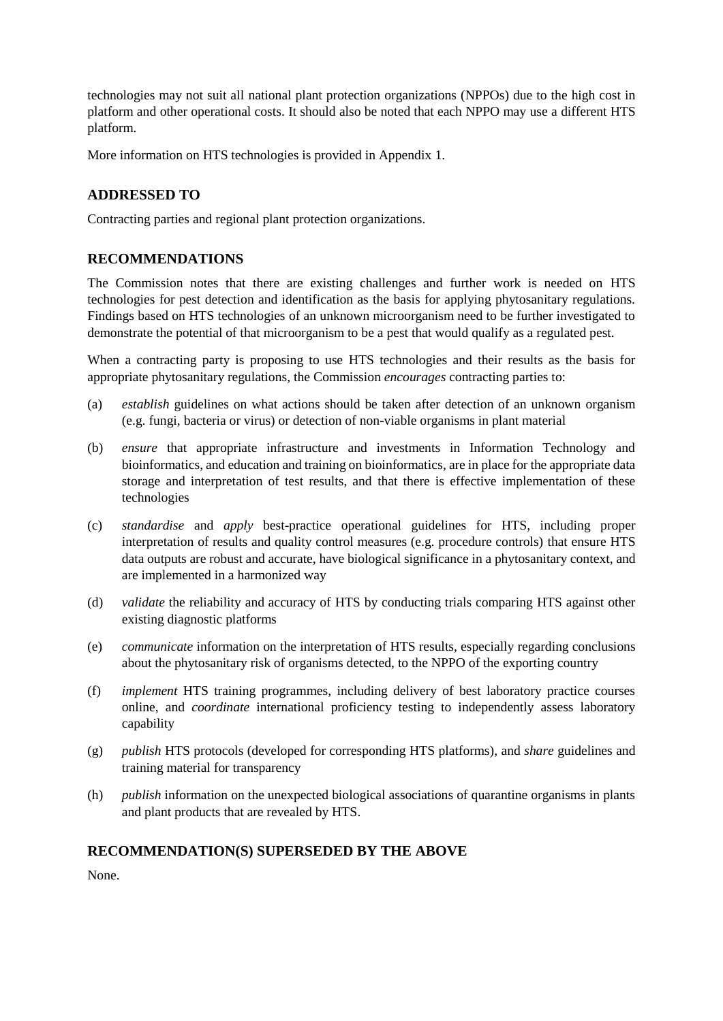technologies may not suit all national plant protection organizations (NPPOs) due to the high cost in platform and other operational costs. It should also be noted that each NPPO may use a different HTS platform.

More information on HTS technologies is provided in Appendix 1.

## **ADDRESSED TO**

Contracting parties and regional plant protection organizations.

## **RECOMMENDATIONS**

The Commission notes that there are existing challenges and further work is needed on HTS technologies for pest detection and identification as the basis for applying phytosanitary regulations. Findings based on HTS technologies of an unknown microorganism need to be further investigated to demonstrate the potential of that microorganism to be a pest that would qualify as a regulated pest.

When a contracting party is proposing to use HTS technologies and their results as the basis for appropriate phytosanitary regulations, the Commission *encourages* contracting parties to:

- (a) *establish* guidelines on what actions should be taken after detection of an unknown organism (e.g. fungi, bacteria or virus) or detection of non-viable organisms in plant material
- (b) *ensure* that appropriate infrastructure and investments in Information Technology and bioinformatics, and education and training on bioinformatics, are in place for the appropriate data storage and interpretation of test results, and that there is effective implementation of these technologies
- (c) *standardise* and *apply* best-practice operational guidelines for HTS, including proper interpretation of results and quality control measures (e.g. procedure controls) that ensure HTS data outputs are robust and accurate, have biological significance in a phytosanitary context, and are implemented in a harmonized way
- (d) *validate* the reliability and accuracy of HTS by conducting trials comparing HTS against other existing diagnostic platforms
- (e) *communicate* information on the interpretation of HTS results, especially regarding conclusions about the phytosanitary risk of organisms detected, to the NPPO of the exporting country
- (f) *implement* HTS training programmes, including delivery of best laboratory practice courses online, and *coordinate* international proficiency testing to independently assess laboratory capability
- (g) *publish* HTS protocols (developed for corresponding HTS platforms), and *share* guidelines and training material for transparency
- (h) *publish* information on the unexpected biological associations of quarantine organisms in plants and plant products that are revealed by HTS.

### **RECOMMENDATION(S) SUPERSEDED BY THE ABOVE**

None.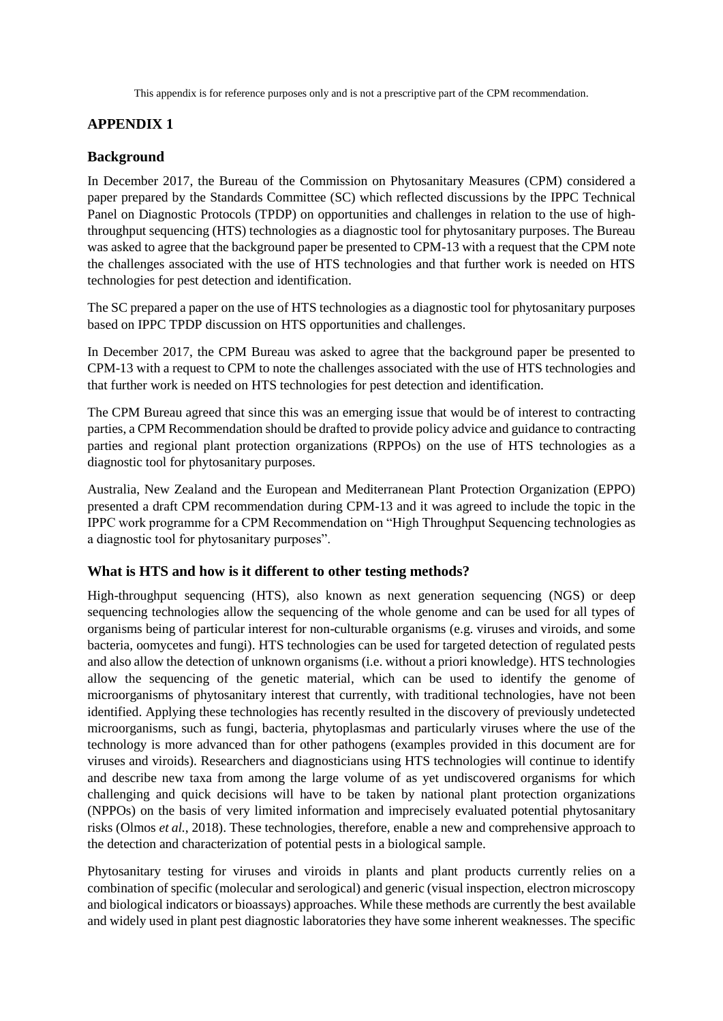This appendix is for reference purposes only and is not a prescriptive part of the CPM recommendation.

### **APPENDIX 1**

#### **Background**

In December 2017, the Bureau of the Commission on Phytosanitary Measures (CPM) considered a paper prepared by the Standards Committee (SC) which reflected discussions by the IPPC Technical Panel on Diagnostic Protocols (TPDP) on opportunities and challenges in relation to the use of highthroughput sequencing (HTS) technologies as a diagnostic tool for phytosanitary purposes. The Bureau was asked to agree that the background paper be presented to CPM-13 with a request that the CPM note the challenges associated with the use of HTS technologies and that further work is needed on HTS technologies for pest detection and identification.

The SC prepared a paper on the use of HTS technologies as a diagnostic tool for phytosanitary purposes based on IPPC TPDP discussion on HTS opportunities and challenges.

In December 2017, the CPM Bureau was asked to agree that the background paper be presented to CPM-13 with a request to CPM to note the challenges associated with the use of HTS technologies and that further work is needed on HTS technologies for pest detection and identification.

The CPM Bureau agreed that since this was an emerging issue that would be of interest to contracting parties, a CPM Recommendation should be drafted to provide policy advice and guidance to contracting parties and regional plant protection organizations (RPPOs) on the use of HTS technologies as a diagnostic tool for phytosanitary purposes.

Australia, New Zealand and the European and Mediterranean Plant Protection Organization (EPPO) presented a draft CPM recommendation during CPM-13 and it was agreed to include the topic in the IPPC work programme for a CPM Recommendation on "High Throughput Sequencing technologies as a diagnostic tool for phytosanitary purposes".

### **What is HTS and how is it different to other testing methods?**

High-throughput sequencing (HTS), also known as next generation sequencing (NGS) or deep sequencing technologies allow the sequencing of the whole genome and can be used for all types of organisms being of particular interest for non-culturable organisms (e.g. viruses and viroids, and some bacteria, oomycetes and fungi). HTS technologies can be used for targeted detection of regulated pests and also allow the detection of unknown organisms (i.e. without a priori knowledge). HTS technologies allow the sequencing of the genetic material, which can be used to identify the genome of microorganisms of phytosanitary interest that currently, with traditional technologies, have not been identified. Applying these technologies has recently resulted in the discovery of previously undetected microorganisms, such as fungi, bacteria, phytoplasmas and particularly viruses where the use of the technology is more advanced than for other pathogens (examples provided in this document are for viruses and viroids). Researchers and diagnosticians using HTS technologies will continue to identify and describe new taxa from among the large volume of as yet undiscovered organisms for which challenging and quick decisions will have to be taken by national plant protection organizations (NPPOs) on the basis of very limited information and imprecisely evaluated potential phytosanitary risks (Olmos *et al.*, 2018). These technologies, therefore, enable a new and comprehensive approach to the detection and characterization of potential pests in a biological sample.

Phytosanitary testing for viruses and viroids in plants and plant products currently relies on a combination of specific (molecular and serological) and generic (visual inspection, electron microscopy and biological indicators or bioassays) approaches. While these methods are currently the best available and widely used in plant pest diagnostic laboratories they have some inherent weaknesses. The specific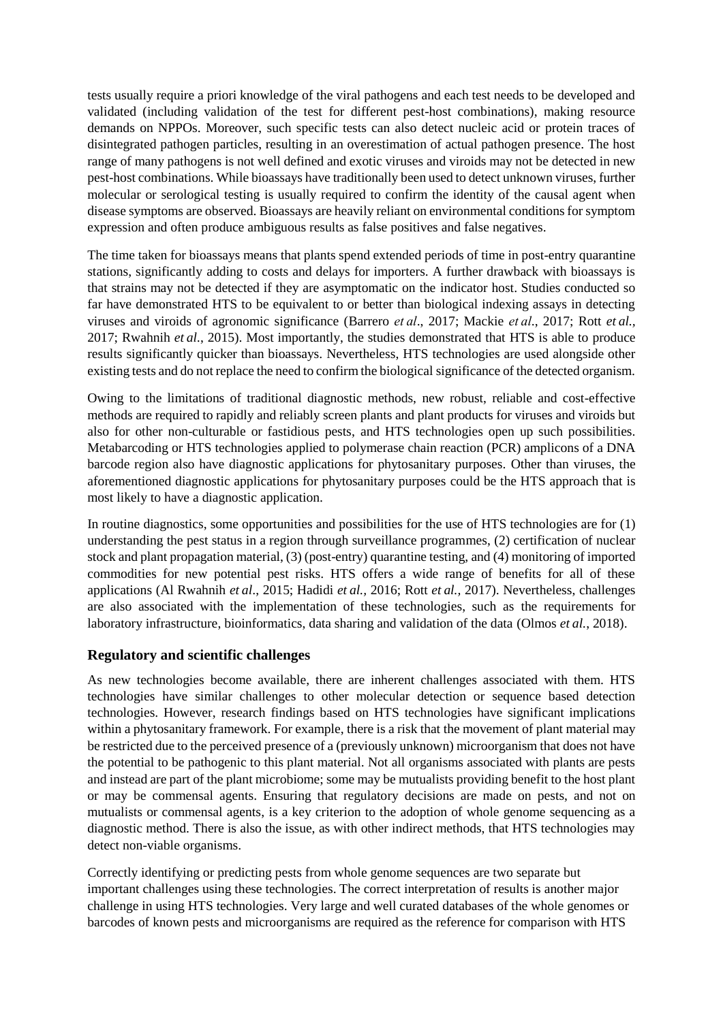tests usually require a priori knowledge of the viral pathogens and each test needs to be developed and validated (including validation of the test for different pest-host combinations), making resource demands on NPPOs. Moreover, such specific tests can also detect nucleic acid or protein traces of disintegrated pathogen particles, resulting in an overestimation of actual pathogen presence. The host range of many pathogens is not well defined and exotic viruses and viroids may not be detected in new pest-host combinations. While bioassays have traditionally been used to detect unknown viruses, further molecular or serological testing is usually required to confirm the identity of the causal agent when disease symptoms are observed. Bioassays are heavily reliant on environmental conditions for symptom expression and often produce ambiguous results as false positives and false negatives.

The time taken for bioassays means that plants spend extended periods of time in post-entry quarantine stations, significantly adding to costs and delays for importers. A further drawback with bioassays is that strains may not be detected if they are asymptomatic on the indicator host. Studies conducted so far have demonstrated HTS to be equivalent to or better than biological indexing assays in detecting viruses and viroids of agronomic significance (Barrero *et al*., 2017; Mackie *et al*., 2017; Rott *et al.,* 2017; Rwahnih *et al.*, 2015). Most importantly, the studies demonstrated that HTS is able to produce results significantly quicker than bioassays. Nevertheless, HTS technologies are used alongside other existing tests and do not replace the need to confirm the biological significance of the detected organism.

Owing to the limitations of traditional diagnostic methods, new robust, reliable and cost-effective methods are required to rapidly and reliably screen plants and plant products for viruses and viroids but also for other non-culturable or fastidious pests, and HTS technologies open up such possibilities. Metabarcoding or HTS technologies applied to polymerase chain reaction (PCR) amplicons of a DNA barcode region also have diagnostic applications for phytosanitary purposes. Other than viruses, the aforementioned diagnostic applications for phytosanitary purposes could be the HTS approach that is most likely to have a diagnostic application.

In routine diagnostics, some opportunities and possibilities for the use of HTS technologies are for (1) understanding the pest status in a region through surveillance programmes, (2) certification of nuclear stock and plant propagation material, (3) (post-entry) quarantine testing, and (4) monitoring of imported commodities for new potential pest risks. HTS offers a wide range of benefits for all of these applications (Al Rwahnih *et al*., 2015; Hadidi *et al.,* 2016; Rott *et al.,* 2017). Nevertheless, challenges are also associated with the implementation of these technologies, such as the requirements for laboratory infrastructure, bioinformatics, data sharing and validation of the data (Olmos *et al.*, 2018).

### **Regulatory and scientific challenges**

As new technologies become available, there are inherent challenges associated with them. HTS technologies have similar challenges to other molecular detection or sequence based detection technologies. However, research findings based on HTS technologies have significant implications within a phytosanitary framework. For example, there is a risk that the movement of plant material may be restricted due to the perceived presence of a (previously unknown) microorganism that does not have the potential to be pathogenic to this plant material. Not all organisms associated with plants are pests and instead are part of the plant microbiome; some may be mutualists providing benefit to the host plant or may be commensal agents. Ensuring that regulatory decisions are made on pests, and not on mutualists or commensal agents, is a key criterion to the adoption of whole genome sequencing as a diagnostic method. There is also the issue, as with other indirect methods, that HTS technologies may detect non-viable organisms.

Correctly identifying or predicting pests from whole genome sequences are two separate but important challenges using these technologies. The correct interpretation of results is another major challenge in using HTS technologies. Very large and well curated databases of the whole genomes or barcodes of known pests and microorganisms are required as the reference for comparison with HTS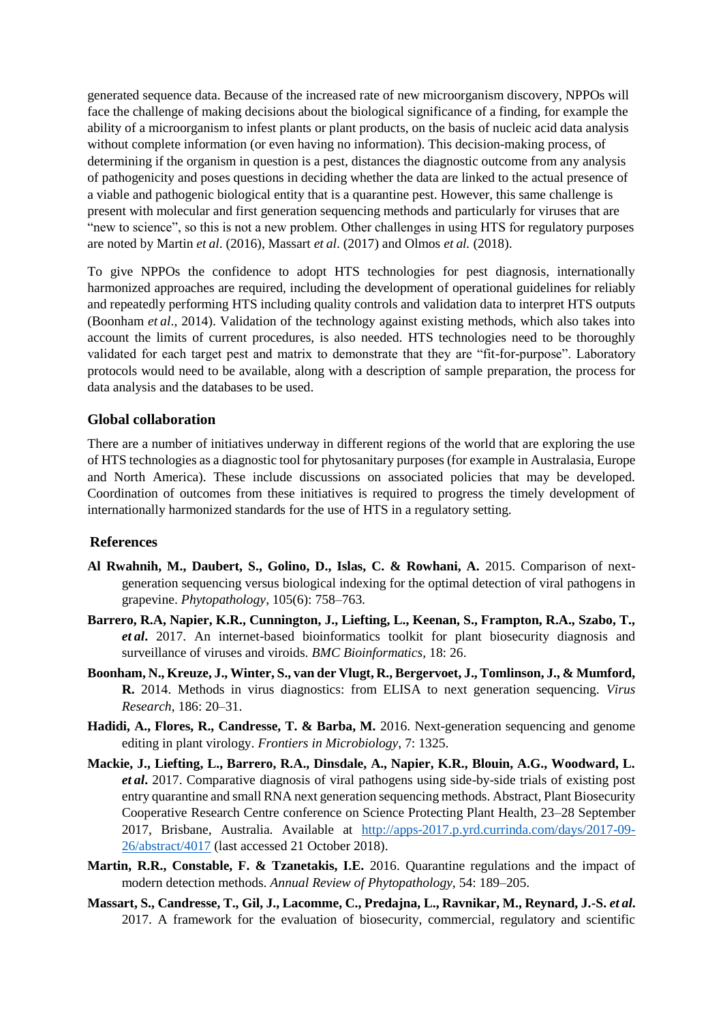generated sequence data. Because of the increased rate of new microorganism discovery, NPPOs will face the challenge of making decisions about the biological significance of a finding, for example the ability of a microorganism to infest plants or plant products, on the basis of nucleic acid data analysis without complete information (or even having no information). This decision-making process, of determining if the organism in question is a pest, distances the diagnostic outcome from any analysis of pathogenicity and poses questions in deciding whether the data are linked to the actual presence of a viable and pathogenic biological entity that is a quarantine pest. However, this same challenge is present with molecular and first generation sequencing methods and particularly for viruses that are "new to science", so this is not a new problem. Other challenges in using HTS for regulatory purposes are noted by Martin *et al*. (2016), Massart *et al*. (2017) and Olmos *et al.* (2018).

To give NPPOs the confidence to adopt HTS technologies for pest diagnosis, internationally harmonized approaches are required, including the development of operational guidelines for reliably and repeatedly performing HTS including quality controls and validation data to interpret HTS outputs (Boonham *et al*., 2014). Validation of the technology against existing methods, which also takes into account the limits of current procedures, is also needed. HTS technologies need to be thoroughly validated for each target pest and matrix to demonstrate that they are "fit-for-purpose". Laboratory protocols would need to be available, along with a description of sample preparation, the process for data analysis and the databases to be used.

#### **Global collaboration**

There are a number of initiatives underway in different regions of the world that are exploring the use of HTS technologies as a diagnostic tool for phytosanitary purposes (for example in Australasia, Europe and North America). These include discussions on associated policies that may be developed. Coordination of outcomes from these initiatives is required to progress the timely development of internationally harmonized standards for the use of HTS in a regulatory setting.

#### **References**

- **Al Rwahnih, M., Daubert, S., Golino, D., Islas, C. & Rowhani, A.** 2015. Comparison of nextgeneration sequencing versus biological indexing for the optimal detection of viral pathogens in grapevine. *Phytopathology*, 105(6): 758–763.
- **Barrero, R.A, Napier, K.R., Cunnington, J., Liefting, L., Keenan, S., Frampton, R.A., Szabo, T.,**  *et al***.** 2017. An internet-based bioinformatics toolkit for plant biosecurity diagnosis and surveillance of viruses and viroids. *BMC Bioinformatics*, 18: 26.
- **Boonham, N., Kreuze, J., Winter, S., van der Vlugt, R., Bergervoet, J., Tomlinson, J., & Mumford, R.** 2014. Methods in virus diagnostics: from ELISA to next generation sequencing. *Virus Research*, 186: 20–31.
- **Hadidi, A., Flores, R., Candresse, T. & Barba, M.** 2016. Next-generation sequencing and genome editing in plant virology. *Frontiers in Microbiology*, 7: 1325.
- **Mackie, J., Liefting, L., Barrero, R.A., Dinsdale, A., Napier, K.R., Blouin, A.G., Woodward, L.**  *et al***.** 2017. Comparative diagnosis of viral pathogens using side-by-side trials of existing post entry quarantine and small RNA next generation sequencing methods. Abstract, Plant Biosecurity Cooperative Research Centre conference on Science Protecting Plant Health, 23–28 September 2017, Brisbane, Australia. Available at [http://apps-2017.p.yrd.currinda.com/days/2017-09-](http://apps-2017.p.yrd.currinda.com/days/2017-09-26/abstract/4017) [26/abstract/4017](http://apps-2017.p.yrd.currinda.com/days/2017-09-26/abstract/4017) (last accessed 21 October 2018).
- **Martin, R.R., Constable, F. & Tzanetakis, I.E.** 2016. Quarantine regulations and the impact of modern detection methods. *Annual Review of Phytopathology*, 54: 189–205.
- **Massart, S., Candresse, T., Gil, J., Lacomme, C., Predajna, L., Ravnikar, M., Reynard, J.-S.** *et al***.** 2017. A framework for the evaluation of biosecurity, commercial, regulatory and scientific